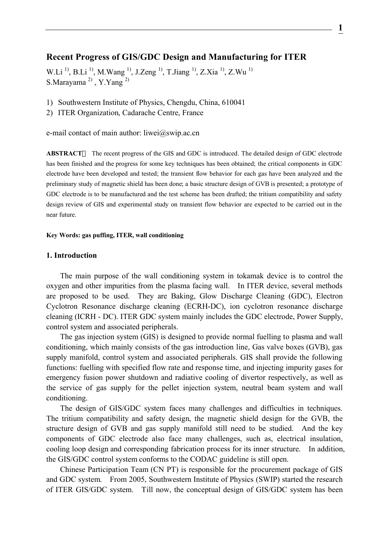# **Recent Progress of GIS/GDC Design and Manufacturing for ITER**

W.Li<sup>1)</sup>, B.Li<sup>1</sup><sup>)</sup>, M.Wang<sup>1</sup><sup>1</sup>, J.Zeng<sup>1</sup><sup>1</sup>, T.Jiang<sup>1</sup><sup>1</sup>, Z.Xia<sup>1</sup><sup>1</sup>, Z.Wu<sup>1</sup><sup>1</sup> S.Marayama<sup>2)</sup>, Y.Yang<sup>2)</sup>

- 1) Southwestern Institute of Physics, Chengdu, China, 610041
- 2) ITER Organization, Cadarache Centre, France

e-mail contact of main author: liwei@swip.ac.cn

**ABSTRACT** The recent progress of the GIS and GDC is introduced. The detailed design of GDC electrode has been finished and the progress for some key techniques has been obtained; the critical components in GDC electrode have been developed and tested; the transient flow behavior for each gas have been analyzed and the preliminary study of magnetic shield has been done; a basic structure design of GVB is presented; a prototype of GDC electrode is to be manufactured and the test scheme has been drafted; the tritium compatibility and safety design review of GIS and experimental study on transient flow behavior are expected to be carried out in the near future.

#### **Key Words: gas puffing, ITER, wall conditioning**

#### **1. Introduction**

The main purpose of the wall conditioning system in tokamak device is to control the oxygen and other impurities from the plasma facing wall. In ITER device, several methods are proposed to be used. They are Baking, Glow Discharge Cleaning (GDC), Electron Cyclotron Resonance discharge cleaning (ECRH-DC), ion cyclotron resonance discharge cleaning (ICRH - DC). ITER GDC system mainly includes the GDC electrode, Power Supply, control system and associated peripherals.

The gas injection system (GIS) is designed to provide normal fuelling to plasma and wall conditioning, which mainly consists of the gas introduction line, Gas valve boxes (GVB), gas supply manifold, control system and associated peripherals. GIS shall provide the following functions: fuelling with specified flow rate and response time, and injecting impurity gases for emergency fusion power shutdown and radiative cooling of divertor respectively, as well as the service of gas supply for the pellet injection system, neutral beam system and wall conditioning.

The design of GIS/GDC system faces many challenges and difficulties in techniques. The tritium compatibility and safety design, the magnetic shield design for the GVB, the structure design of GVB and gas supply manifold still need to be studied. And the key components of GDC electrode also face many challenges, such as, electrical insulation, cooling loop design and corresponding fabrication process for its inner structure. In addition, the GIS/GDC control system conforms to the CODAC guideline is still open.

Chinese Participation Team (CN PT) is responsible for the procurement package of GIS and GDC system. From 2005, Southwestern Institute of Physics (SWIP) started the research of ITER GIS/GDC system. Till now, the conceptual design of GIS/GDC system has been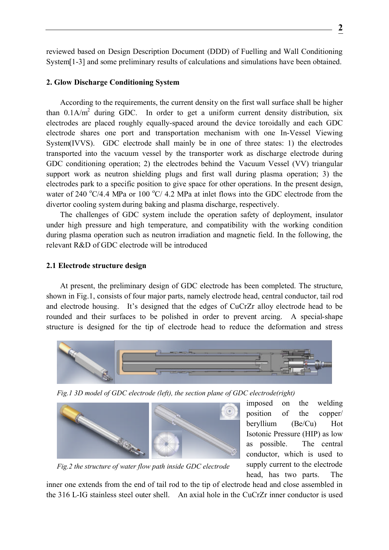reviewed based on Design Description Document (DDD) of Fuelling and Wall Conditioning System<sup>[1-3]</sup> and some preliminary results of calculations and simulations have been obtained.

## **2. Glow Discharge Conditioning System**

According to the requirements, the current density on the first wall surface shall be higher than  $0.1$ A/m<sup>2</sup> during GDC. In order to get a uniform current density distribution, six electrodes are placed roughly equally-spaced around the device toroidally and each GDC electrode shares one port and transportation mechanism with one In-Vessel Viewing System(IVVS). GDC electrode shall mainly be in one of three states: 1) the electrodes transported into the vacuum vessel by the transporter work as discharge electrode during GDC conditioning operation; 2) the electrodes behind the Vacuum Vessel (VV) triangular support work as neutron shielding plugs and first wall during plasma operation; 3) the electrodes park to a specific position to give space for other operations. In the present design, water of 240  $^{\circ}$ C/4.4 MPa or 100  $^{\circ}$ C/4.2 MPa at inlet flows into the GDC electrode from the divertor cooling system during baking and plasma discharge, respectively.

The challenges of GDC system include the operation safety of deployment, insulator under high pressure and high temperature, and compatibility with the working condition during plasma operation such as neutron irradiation and magnetic field. In the following, the relevant R&D of GDC electrode will be introduced

#### **2.1 Electrode structure design**

At present, the preliminary design of GDC electrode has been completed. The structure, shown in Fig.1, consists of four major parts, namely electrode head, central conductor, tail rod and electrode housing. It's designed that the edges of CuCrZr alloy electrode head to be rounded and their surfaces to be polished in order to prevent arcing. A special-shape structure is designed for the tip of electrode head to reduce the deformation and stress



*Fig.1 3D model of GDC electrode (left), the section plane of GDC electrode(right)*



imposed on the welding position of the copper/ beryllium (Be/Cu) Hot Isotonic Pressure (HIP) as low as possible. The central conductor, which is used to supply current to the electrode head, has two parts. The

*Fig.2 the structure of water flow path inside GDC electrode*

inner one extends from the end of tail rod to the tip of electrode head and close assembled in the 316 L-IG stainless steel outer shell. An axial hole in the CuCrZr inner conductor is used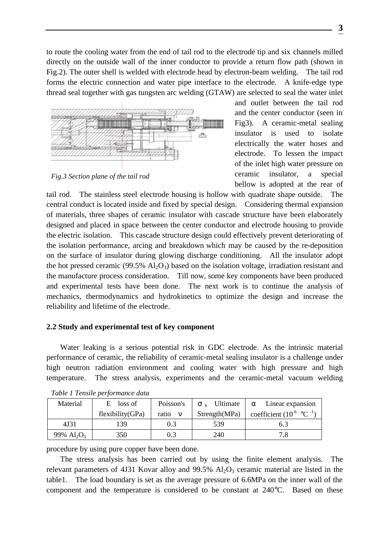to route the cooling water from the end of tail rod to the electrode tip and six channels milled directly on the outside wall of the inner conductor to provide a return flow path (shown in Fig.2). The outer shell is welded with electrode head by electron-beam welding. The tail rod forms the electric connection and water pipe interface to the electrode. A knife-edge type thread seal together with gas tungsten arc welding (GTAW) are selected to seal the water inlet



*Fig.3 Section plane of the tail rod*

and outlet between the tail rod and the center conductor (seen in Fig3). A ceramic-metal sealing insulator is used to isolate electrically the water hoses and electrode. To lessen the impact of the inlet high water pressure on ceramic insulator, a special bellow is adopted at the rear of

tail rod. The stainless steel electrode housing is hollow with quadrate shape outside. The central conduct is located inside and fixed by special design. Considering thermal expansion of materials, three shapes of ceramic insulator with cascade structure have been elaborately designed and placed in space between the center conductor and electrode housing to provide the electric isolation. This cascade structure design could effectively prevent deteriorating of the isolation performance, arcing and breakdown which may be caused by the re-deposition on the surface of insulator during glowing discharge conditioning. All the insulator adopt the hot pressed ceramic (99.5%  $\text{Al}_2\text{O}_3$ ) based on the isolation voltage, irradiation resistant and the manufacture process consideration. Till now, some key components have been produced and experimental tests have been done. The next work is to continue the analysis of mechanics, thermodynamics and hydrokinetics to optimize the design and increase the reliability and lifetime of the electrode.

# **2.2 Study and experimental test of key component**

Water leaking is a serious potential risk in GDC electrode. As the intrinsic material performance of ceramic, the reliability of ceramic-metal sealing insulator is a challenge under high neutron radiation environment and cooling water with high pressure and high temperature. The stress analysis, experiments and the ceramic-metal vacuum welding

| Material                              | loss of          | Poisson's | Ultimate      | Linear expansion                        |  |
|---------------------------------------|------------------|-----------|---------------|-----------------------------------------|--|
|                                       | flexibility(GPa) | ratio     | Strength(MPa) | coefficient $(10^{-6} \text{ °C}^{-1})$ |  |
| 4J31                                  | 139              | 0.3       | 539           | 6.3                                     |  |
| $99\%$ Al <sub>2</sub> O <sub>3</sub> | 350              | $\rm 0.3$ | 240           | 7.8                                     |  |

|  | Table 1 Tensile performance data |
|--|----------------------------------|
|--|----------------------------------|

procedure by using pure copper have been done.

The stress analysis has been carried out by using the finite element analysis. The relevant parameters of 4J31 Kovar alloy and  $99.5\%$  Al<sub>2</sub>O<sub>3</sub> ceramic material are listed in the table1. The load boundary is set as the average pressure of 6.6MPa on the inner wall of the component and the temperature is considered to be constant at 240°C. Based on these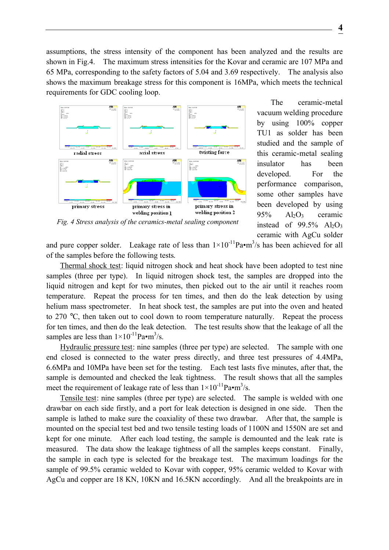assumptions, the stress intensity of the component has been analyzed and the results are shown in Fig.4. The maximum stress intensities for the Kovar and ceramic are 107 MPa and 65 MPa, corresponding to the safety factors of 5.04 and 3.69 respectively. The analysis also shows the maximum breakage stress for this component is 16MPa, which meets the technical requirements for GDC cooling loop.



The ceramic-metal vacuum welding procedure by using 100% copper TU1 as solder has been studied and the sample of this ceramic-metal sealing insulator has been developed. For the performance comparison, some other samples have been developed by using  $95\%$  Al<sub>2</sub>O<sub>3</sub> ceramic instead of 99.5%  $Al_2O_3$ ceramic with AgCu solder

*Fig. 4 Stress analysis of the ceramics-metal sealing component*

and pure copper solder. Leakage rate of less than  $1 \times 10^{-11}$ Pa•m<sup>3</sup>/s has been achieved for all of the samples before the following tests.

Thermal shock test: liquid nitrogen shock and heat shock have been adopted to test nine samples (three per type). In liquid nitrogen shock test, the samples are dropped into the liquid nitrogen and kept for two minutes, then picked out to the air until it reaches room temperature. Repeat the process for ten times, and then do the leak detection by using helium mass spectrometer. In heat shock test, the samples are put into the oven and heated to 270 °C, then taken out to cool down to room temperature naturally. Repeat the process for ten times, and then do the leak detection. The test results show that the leakage of all the samples are less than  $1 \times 10^{-11}$ Pa•m<sup>3</sup>/s.

Hydraulic pressure test: nine samples (three per type) are selected. The sample with one end closed is connected to the water press directly, and three test pressures of 4.4MPa, 6.6MPa and 10MPa have been set for the testing. Each test lasts five minutes, after that, the sample is demounted and checked the leak tightness. The result shows that all the samples meet the requirement of leakage rate of less than  $1 \times 10^{-11}$ Pa•m<sup>3</sup>/s.

Tensile test: nine samples (three per type) are selected. The sample is welded with one drawbar on each side firstly, and a port for leak detection is designed in one side. Then the sample is lathed to make sure the coaxiality of these two drawbar. After that, the sample is mounted on the special test bed and two tensile testing loads of 1100N and 1550N are set and kept for one minute. After each load testing, the sample is demounted and the leak rate is measured. The data show the leakage tightness of all the samples keeps constant. Finally, the sample in each type is selected for the breakage test. The maximum loadings for the sample of 99.5% ceramic welded to Kovar with copper, 95% ceramic welded to Kovar with AgCu and copper are 18 KN, 10KN and 16.5KN accordingly. And all the breakpoints are in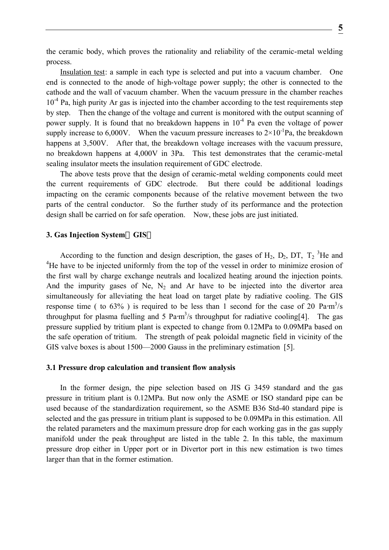the ceramic body, which proves the rationality and reliability of the ceramic-metal welding process.

Insulation test: a sample in each type is selected and put into a vacuum chamber. One end is connected to the anode of high-voltage power supply; the other is connected to the cathode and the wall of vacuum chamber. When the vacuum pressure in the chamber reaches 10<sup>-4</sup> Pa, high purity Ar gas is injected into the chamber according to the test requirements step by step. Then the change of the voltage and current is monitored with the output scanning of power supply. It is found that no breakdown happens in  $10^{-4}$  Pa even the voltage of power supply increase to 6,000V. When the vacuum pressure increases to  $2 \times 10^{-1}$  Pa, the breakdown happens at 3,500V. After that, the breakdown voltage increases with the vacuum pressure, no breakdown happens at 4,000V in 3Pa. This test demonstrates that the ceramic-metal sealing insulator meets the insulation requirement of GDC electrode.

The above tests prove that the design of ceramic-metal welding components could meet the current requirements of GDC electrode. But there could be additional loadings impacting on the ceramic components because of the relative movement between the two parts of the central conductor. So the further study of its performance and the protection design shall be carried on for safe operation. Now, these jobs are just initiated.

### **3. Gas Injection System GIS**

According to the function and design description, the gases of  $H_2$ ,  $D_2$ ,  $DT$ ,  $T_2$ <sup>3</sup>He and <sup>4</sup>He have to be injected uniformly from the top of the vessel in order to minimize erosion of the first wall by charge exchange neutrals and localized heating around the injection points. And the impurity gases of Ne,  $N_2$  and Ar have to be injected into the divertor area simultaneously for alleviating the heat load on target plate by radiative cooling. The GIS response time ( to  $63\%$  ) is required to be less than 1 second for the case of 20 Pa⋅m<sup>3</sup>/s throughput for plasma fuelling and 5 Pa⋅m<sup>3</sup>/s throughput for radiative cooling[4]. The gas pressure supplied by tritium plant is expected to change from 0.12MPa to 0.09MPa based on the safe operation of tritium. The strength of peak poloidal magnetic field in vicinity of the GIS valve boxes is about 1500—2000 Gauss in the preliminary estimation [5].

### **3.1 Pressure drop calculation and transient flow analysis**

In the former design, the pipe selection based on JIS G 3459 standard and the gas pressure in tritium plant is 0.12MPa. But now only the ASME or ISO standard pipe can be used because of the standardization requirement, so the ASME B36 Std-40 standard pipe is selected and the gas pressure in tritium plant is supposed to be 0.09MPa in this estimation. All the related parameters and the maximum pressure drop for each working gas in the gas supply manifold under the peak throughput are listed in the table 2. In this table, the maximum pressure drop either in Upper port or in Divertor port in this new estimation is two times larger than that in the former estimation.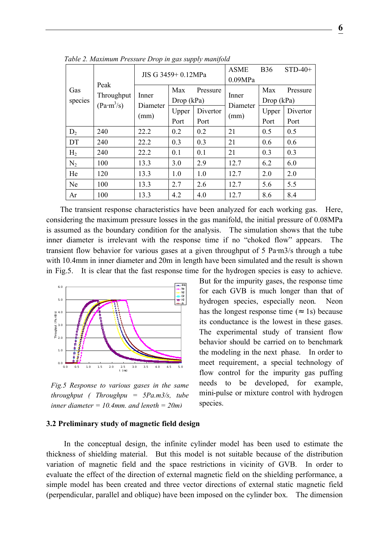| Gas<br>species | Peak<br>Throughput<br>(Pa·m <sup>3</sup> /s) | $\overline{ }$<br>$\check{ }$<br>11 V<br>JIS G 3459+ 0.12MPa |                   |          | <b>ASME</b><br>0.09MPa | <b>B36</b>                    | $STD-40+$ |
|----------------|----------------------------------------------|--------------------------------------------------------------|-------------------|----------|------------------------|-------------------------------|-----------|
|                |                                              | Inner<br>Diameter<br>(mm)                                    | Max<br>Drop (kPa) | Pressure | Inner                  | Max<br>Pressure<br>Drop (kPa) |           |
|                |                                              |                                                              | Upper             | Divertor | Diameter<br>(mm)       | Upper                         | Divertor  |
|                |                                              |                                                              | Port              | Port     |                        | Port                          | Port      |
| $D_2$          | 240                                          | 22.2                                                         | 0.2               | 0.2      | 21                     | 0.5                           | 0.5       |
| DT             | 240                                          | 22.2                                                         | 0.3               | 0.3      | 21                     | 0.6                           | 0.6       |
| H <sub>2</sub> | 240                                          | 22.2                                                         | 0.1               | 0.1      | 21                     | 0.3                           | 0.3       |
| $N_2$          | 100                                          | 13.3                                                         | 3.0               | 2.9      | 12.7                   | 6.2                           | 6.0       |
| He             | 120                                          | 13.3                                                         | 1.0               | 1.0      | 12.7                   | 2.0                           | 2.0       |
| Ne             | 100                                          | 13.3                                                         | 2.7               | 2.6      | 12.7                   | 5.6                           | 5.5       |
| Ar             | 100                                          | 13.3                                                         | 4.2               | 4.0      | 12.7                   | 8.6                           | 8.4       |

*Table 2. Maximum Pressure Drop in gas supply manifold*

The transient response characteristics have been analyzed for each working gas. Here, considering the maximum pressure losses in the gas manifold, the initial pressure of 0.08MPa is assumed as the boundary condition for the analysis. The simulation shows that the tube inner diameter is irrelevant with the response time if no "choked flow" appears. The transient flow behavior for various gases at a given throughput of 5 Pa⋅m3/s through a tube with 10.4mm in inner diameter and 20m in length have been simulated and the result is shown in Fig.5. It is clear that the fast response time for the hydrogen species is easy to achieve.



*Fig.5 Response to various gases in the same throughput ( Throughpu = 5Pa.m3/s, tube inner diameter = 10.4mm, and length = 20m)*

But for the impurity gases, the response time for each GVB is much longer than that of hydrogen species, especially neon. Neon has the longest response time ( 1s) because its conductance is the lowest in these gases. The experimental study of transient flow behavior should be carried on to benchmark the modeling in the next phase. In order to meet requirement, a special technology of flow control for the impurity gas puffing needs to be developed, for example, mini-pulse or mixture control with hydrogen species.

### **3.2 Preliminary study of magnetic field design**

In the conceptual design, the infinite cylinder model has been used to estimate the thickness of shielding material. But this model is not suitable because of the distribution variation of magnetic field and the space restrictions in vicinity of GVB. In order to evaluate the effect of the direction of external magnetic field on the shielding performance, a simple model has been created and three vector directions of external static magnetic field (perpendicular, parallel and oblique) have been imposed on the cylinder box. The dimension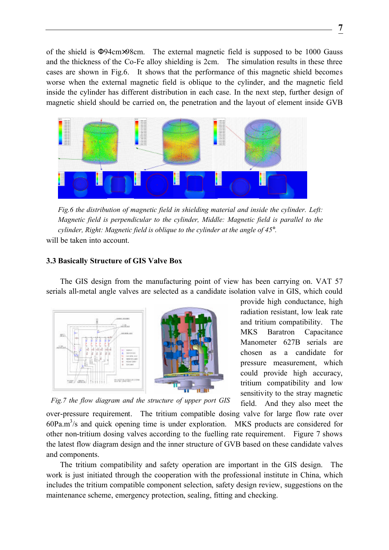of the shield is Φ94cm×98cm. The external magnetic field is supposed to be 1000 Gauss and the thickness of the Co-Fe alloy shielding is 2cm. The simulation results in these three cases are shown in Fig.6. It shows that the performance of this magnetic shield becomes worse when the external magnetic field is oblique to the cylinder, and the magnetic field inside the cylinder has different distribution in each case. In the next step, further design of magnetic shield should be carried on, the penetration and the layout of element inside GVB



*Fig.6 the distribution of magnetic field in shielding material and inside the cylinder. Left: Magnetic field is perpendicular to the cylinder, Middle: Magnetic field is parallel to the cylinder, Right: Magnetic field is oblique to the cylinder at the angle of 45°.*

will be taken into account.

# **3.3 Basically Structure of GIS Valve Box**

The GIS design from the manufacturing point of view has been carrying on. VAT 57 serials all-metal angle valves are selected as a candidate isolation valve in GIS, which could



provide high conductance, high radiation resistant, low leak rate and tritium compatibility. The MKS Baratron Capacitance Manometer 627B serials are chosen as a candidate for pressure measurement, which could provide high accuracy, tritium compatibility and low sensitivity to the stray magnetic field. And they also meet the

*Fig.7 the flow diagram and the structure of upper port GIS*

over-pressure requirement. The tritium compatible dosing valve for large flow rate over  $60Pa.m<sup>3</sup>/s$  and quick opening time is under exploration. MKS products are considered for other non-tritium dosing valves according to the fuelling rate requirement. Figure 7 shows the latest flow diagram design and the inner structure of GVB based on these candidate valves and components.

The tritium compatibility and safety operation are important in the GIS design. The work is just initiated through the cooperation with the professional institute in China, which includes the tritium compatible component selection, safety design review, suggestions on the maintenance scheme, emergency protection, sealing, fitting and checking.